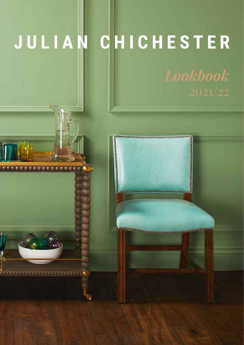### **JULIAN CHICHESTER**

*REFEREE* 

**CONNECTIVES IN EXECUTIVE** 

W W 丽 嘝 N

*Lookbook* 

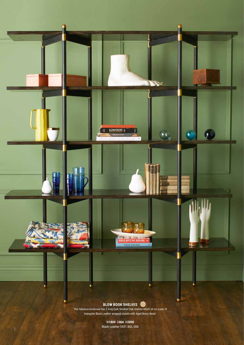

**M** 

e.

This fabulous bookcase has 3 long Dark Smoked Oak shelves which sit on a pair of triangular Black Leather wrapped stands with Aged Brass detail.

LONDON ||

**THE FEBRUARY** 

 $\cdot$ eg

**DI** 

叫

W**1800** D**466** H**2000** Black Leather 5431.BGL.000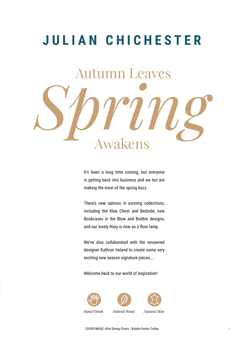## Autumn Leaves Spring **JULIAN CHICHESTER**

It's been a long time coming, but everyone is getting back into business and we too are making the most of the spring buzz.

There's new options in existing collections, including the Klee Chest and Bedside, new Bookcases in the Blow and Bobbin designs, and our lovely Roxy is now as a floor lamp.

We've also collaborated with the renowned designer Kathryn Ireland to create some very exciting new season signature pieces...

Welcome back to our world of inspiration!



COVER IMAGE: Klint Dining Chairs / Bobbin Drinks Trolley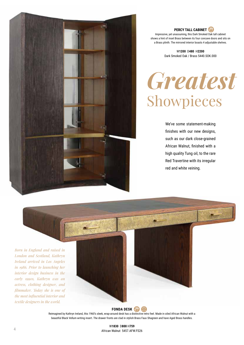

**PERCY TALL CABINET** 

Impressive, yet unassuming, this Dark Smoked Oak tall cabinet shows a hint of inset Brass between its four concave doors and sits on a Brass plinth. The mirrored interior boasts 4 adjustable shelves.

> W**1200** D**480** H**2200** Dark Smoked Oak / Brass 5440.SOK.000

### *Greatest* Showpieces

We've some statement-making finishes with our new designs, such as our dark close-grained African Walnut, finished with a high quality Tung oil, to the rare Red Travertine with its irregular red and white veining.

*Born in England and raised in London and Scotland, Kathryn Ireland arrived in Los Angeles in 1986. Prior to launching her interior design business in the early 1990s, Kathryn was an actress, clothing designer, and filmmaker. Today she is one of the most influential interior and textile designers in the world.*



Reimagined by Kathryn Ireland, this 1960's sleek, wrap-around desk has a distinctive retro feel. Made in oiled African Walnut with a beautiful Black Vellum writing insert. The drawer fronts are clad in stylish Brass Faux Shagreen and have Aged Brass handles.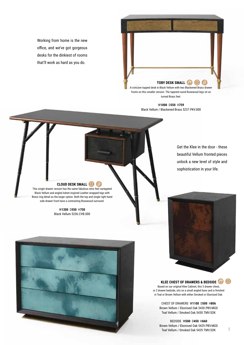Working from home is the new office, and we've got gorgeous desks for the dinkiest of rooms that'll work as hard as you do.



turned Brass feet.

W**1000** D**550** H**759** Black Vellum / Blackened Brass 5237.PKV.000

> Get the Klee in the door - these beautiful Vellum fronted pieces unlock a new level of style and sophistication in your life.

### **CLOUD DESK SMALL**  $\mathbb{S}$

This single drawer version has the same fabulous retro feel variegated Black Vellum and angled Adnet inspired Leather wrapped legs with Brass ring detail as the larger option. Both the top and single right hand side drawer front have a contrasting Rosewood surround.

> W**1200** D**550** H**750** Black Vellum 5236.CVB.000



### **KLEE CHEST OF DRAWERS & BEDSIDE**

Based on our original Klee Cabinet, this 3 drawer chest, or 2 drawer bedside, sits on a small angled base and is finished in Teal or Brown Vellum with either Smoked or Ebonised Oak.

CHEST OF DRAWERS W**1100** D**500** H**806** Brown Vellum / Ebonised Oak 5430.PBV.MGD Teal Vellum / Smoked Oak 5430.TMV.SOK

BEDSIDE W**500** D**450** H**660** Brown Vellum / Ebonised Oak 5429.PBV.MGD Teal Vellum / Smoked Oak 5429.TMV.SOK

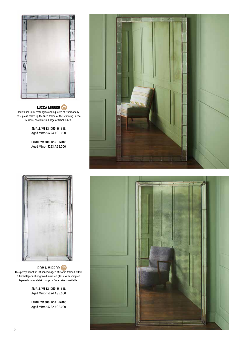

### **LUCCA MIRROR**

Individual thick rectangles and squares of traditionally cast glass make up the tiled frame of the stunning Lucca Mirrors, available in Large or Small sizes.

> SMALL W**813** D**50** H**1118** Aged Mirror 5224.AGE.000

> LARGE W**1000** D**55** H**2000** Aged Mirror 5223.AGE.000



### **ROMA MIRROR** This pretty Venetian influenced Aged Mirror is framed within 3 tiered layers of engraved mirrored glass, with sculpted tapered corner detail. Large or Small sizes available.

SMALL W**813** D**50** H**1118** Aged Mirror 5224.AGE.000

LARGE W**1000** D**58** H**2000** Aged Mirror 5222.AGE.000



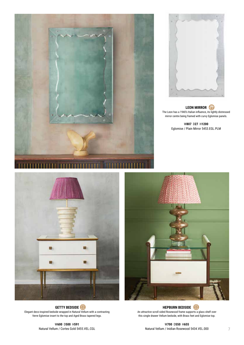



**LEON MIRROR** The Leon has a 1940's Italian influence, its lightly distressed mirror centre being framed with curvy Eglomise panels.

> W**807** D**27** H**1200** Eglomise / Plain Mirror 5453.EGL.PLM



**HEPBURN BEDSIDE** An attractive scroll sided Rosewood frame supports a glass shelf over this single drawer Vellum bedside, with Brass feet and Eglomise top.

**GETTY BEDSIDE** Elegant deco-inspired bedside wrapped in Natural Vellum with a contrasting Verre Eglomise insert to the top and Aged Brass tapered legs.

W**600** D**500** H**591** Natural Vellum / Cortes Gold 5455.VEL.CGL

W**700** D**550** H**655** Natural Vellum / Inidian Rosewood 5434.VEL.000 7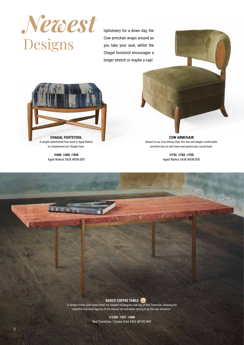

Upholstery for a down day, the Cow armchair wraps around as you take your seat, whilst the Chagal footstool encourages a longer stretch or maybe a nap!



A simple upholstered foot stool in Aged Walnut to complement our Chagal chair.

> W**600** D**400** H**390** Aged Walnut 5428.WDW.000

**COW ARMCHAIR** Based on our Cow dining chair, this low and deeply comfortable armchair has an oak frame and generously curved back.

> W**735** D**760** H**750** Aged Walnut 5438.WDW.000



A simple Cortes Gold frame holds the straight rectangular slab top of Red Travertine, allowing the beautiful individual figuring of the natural red and white veining to be the star attraction.

> W**1200** D**551** H**400** Red Travertine / Cortes Gold 5452.MTVR.FMT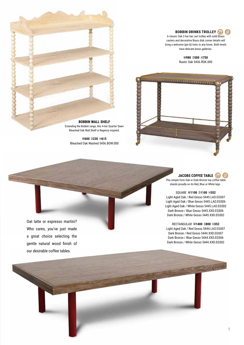

A classic Oak 2-tier bar cart trolley with solid Brass casters and decorative Brass disk corner details will bring a welcome (gin &) tonic to any home. Both levels have delicate brass galleries.

> W**980** D**500** H**750** Rustic Oak 5436.ROK.000





Extending the Bobbin range, this 4-tier Quarter Sawn Bleached Oak Wall Shelf is Regency inspired.

W**600** D**230** H**615** Bleached Oak Washed 5456.BOW.000

> **JACOBS COFFEE TABLE**  $\mathcal{E}(3)$

This simple form Oak or Dark Bronze top coffee table stands proudly on its Red, Blue or White legs .

SQUARE W**1100** D**1100** H**352** Light Aged Oak / Red Gesso 5445.LAO.EGS07 Light Aged Oak / Blue Gesso 5445.LAO.EGS06 Light Aged Oak / White Gesso 5445.LAO.EGS02 Dark Bronze / Blue Gesso 5445.XXD.EGS06 Dark Bronze / White Gesso 5445.XXD.EGS02

RECTANGULAR W**1400** D**800** H**352** Light Aged Oak / Red Gesso 5444.LAO.EGS07 Dark Bronze / Red Gesso 5444.XXD.EGS07 Dark Bronze / Blue Gesso 5444.XXD.EGS06 Dark Bronze / White Gesso 5444.XXD.EGS02

Oat latte or espresso martini? Who cares, you've just made a great choice selecting the gentle natural wood finish of our desirable coffee tables.

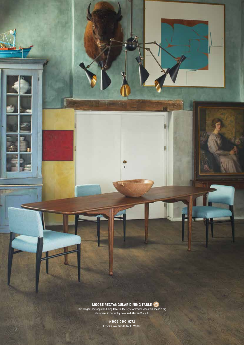**MOOSE RECTANGULAR DINING TABLE**

G

l

U

This elegant rectangular dining table in the style of Peder Moos will make a big statement in our richly coloured African Walnut .

> W**3000**  D**890** H**772** African Walnut 4946.AFW.000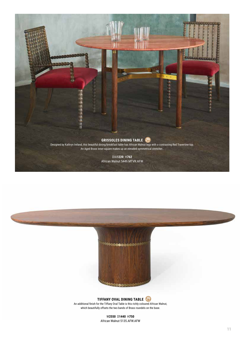



**TIFFANY OVAL DINING TABLE** An additional finish for the Tiffany Oval Table is this richly coloured African Walnut, which beautifully offsets the two bands of Brass roundels on the base.

> W**2550** D**1440** H**750** African Walnut 5135.AFW.AFW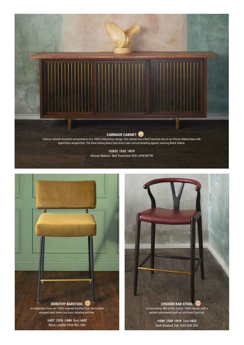



**CHICKEN BAR STOOL** An interesting take on the classic 1940's design, with a padded upholstered back rail and brass front rail.

> W**500** D**550** H**919** Seat H**652** Dark Smoked Oak 5459.SOK.000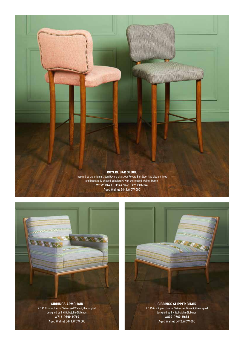



### **GIBBINGS ARMCHAIR**

A 1950's armchair in Distressed Walnut, the original designed by T H Robsjohn-Gibbings. W**716** D**800** H**760** Aged Walnut 5441.WDW.000

# **GIBBINGS SLIPPER CHAIR** A 1950's slipper chair in Distressed Walnut, the original

designed by T H Robsjohn-Gibbings. W**800** D**760** H**688** Aged Walnut 5442.WDW.000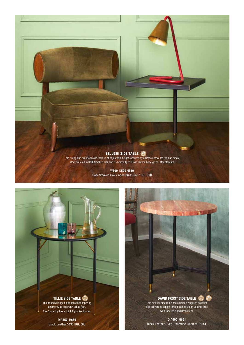

Dark Smoked Oak / Aged Brass 5437.BGL.000

**TILLIE SIDE TABLE** This round 3 legged side table has tapering Leather Clad legs with Brass feet. The Glass top has a thick Eglomise border.

> DIA**650** H**650** Black Leather 5435.BGL.000

**DAVID FROST SIDE TABLE**  $\bigotimes$ This circular side table has a uniquely figured polished Red Travertine top on three stitched Black Leather legs with tapered Aged Brass feet.

DIA**600** H**651** Black Leather / Red Travertine 5450.MTR.BGL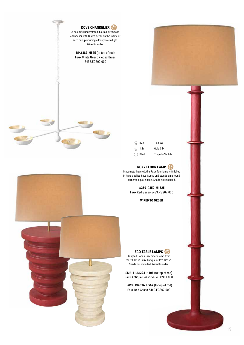

| $1 \times 60w$        |
|-----------------------|
| Gold Silk             |
| <b>Torpedo Switch</b> |
|                       |

### **ROXY FLOOR LAMP**

Giacometti inspired, the Roxy floor lamp is finished in hand applied Faux Gesso and stands on a round cornered square base. Shade not included.

> W**350** D**350** H**1525** Faux Red Gesso 5433.PGS07.000

> > **WIRED TO ORDER**

**ECO TABLE LAMPS** Adapted from a Giacometti lamp from the 1930's in Faux Antique or Red Gesso. Shade not included. Wired to order.

SMALL DIA**224** H**408** (to top of rod) Faux Antique Gesso 5454.EGS01.000

LARGE DIA**336** H**562** (to top of rod) Faux Red Gesso 5460.EGS07.000